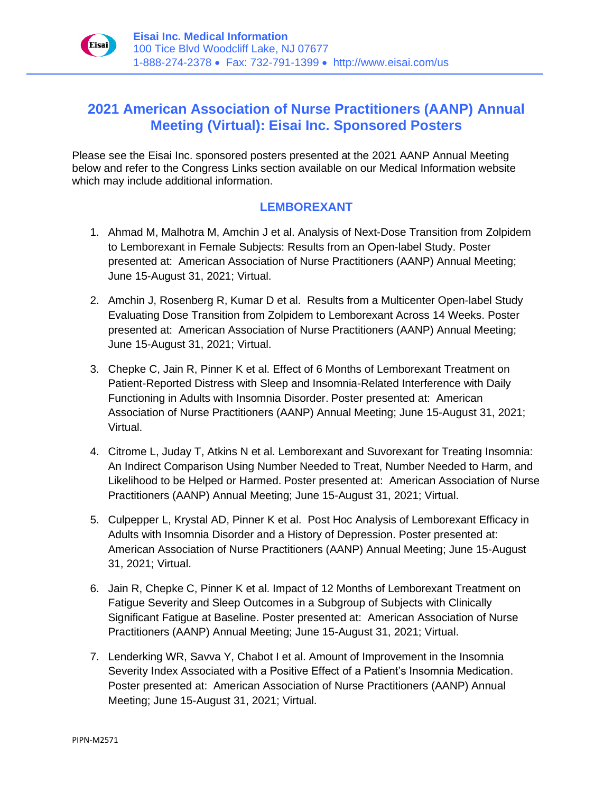

## **2021 American Association of Nurse Practitioners (AANP) Annual Meeting (Virtual): Eisai Inc. Sponsored Posters**

Please see the Eisai Inc. sponsored posters presented at the 2021 AANP Annual Meeting below and refer to the Congress Links section available on our Medical Information website which may include additional information.

## **LEMBOREXANT**

- 1. Ahmad M, Malhotra M, Amchin J et al. Analysis of Next-Dose Transition from Zolpidem to Lemborexant in Female Subjects: Results from an Open-label Study. Poster presented at: American Association of Nurse Practitioners (AANP) Annual Meeting; June 15-August 31, 2021; Virtual.
- 2. Amchin J, Rosenberg R, Kumar D et al. Results from a Multicenter Open-label Study Evaluating Dose Transition from Zolpidem to Lemborexant Across 14 Weeks. Poster presented at: American Association of Nurse Practitioners (AANP) Annual Meeting; June 15-August 31, 2021; Virtual.
- 3. Chepke C, Jain R, Pinner K et al. Effect of 6 Months of Lemborexant Treatment on Patient-Reported Distress with Sleep and Insomnia-Related Interference with Daily Functioning in Adults with Insomnia Disorder. Poster presented at: American Association of Nurse Practitioners (AANP) Annual Meeting; June 15-August 31, 2021; Virtual.
- 4. Citrome L, Juday T, Atkins N et al. Lemborexant and Suvorexant for Treating Insomnia: An Indirect Comparison Using Number Needed to Treat, Number Needed to Harm, and Likelihood to be Helped or Harmed. Poster presented at: American Association of Nurse Practitioners (AANP) Annual Meeting; June 15-August 31, 2021; Virtual.
- 5. Culpepper L, Krystal AD, Pinner K et al. Post Hoc Analysis of Lemborexant Efficacy in Adults with Insomnia Disorder and a History of Depression. Poster presented at: American Association of Nurse Practitioners (AANP) Annual Meeting; June 15-August 31, 2021; Virtual.
- 6. Jain R, Chepke C, Pinner K et al. Impact of 12 Months of Lemborexant Treatment on Fatigue Severity and Sleep Outcomes in a Subgroup of Subjects with Clinically Significant Fatigue at Baseline. Poster presented at: American Association of Nurse Practitioners (AANP) Annual Meeting; June 15-August 31, 2021; Virtual.
- 7. Lenderking WR, Savva Y, Chabot I et al. Amount of Improvement in the Insomnia Severity Index Associated with a Positive Effect of a Patient's Insomnia Medication. Poster presented at: American Association of Nurse Practitioners (AANP) Annual Meeting; June 15-August 31, 2021; Virtual.